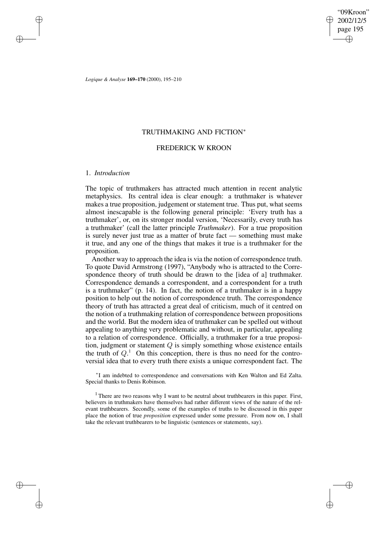"09Kroon" 2002/12/5 page 195 ✐ ✐

✐

✐

*Logique & Analyse* **169–170** (2000), 195–210

# TRUTHMAKING AND FICTION<sup>∗</sup>

# FREDERICK W KROON

## 1. *Introduction*

✐

✐

✐

✐

The topic of truthmakers has attracted much attention in recent analytic metaphysics. Its central idea is clear enough: a truthmaker is whatever makes a true proposition, judgement or statement true. Thus put, what seems almost inescapable is the following general principle: 'Every truth has a truthmaker', or, on its stronger modal version, 'Necessarily, every truth has a truthmaker' (call the latter principle *Truthmaker*). For a true proposition is surely never just true as a matter of brute fact — something must make it true, and any one of the things that makes it true is a truthmaker for the proposition.

Another way to approach the idea is via the notion of correspondence truth. To quote David Armstrong (1997), "Anybody who is attracted to the Correspondence theory of truth should be drawn to the [idea of a] truthmaker. Correspondence demands a correspondent, and a correspondent for a truth is a truthmaker" (p. 14). In fact, the notion of a truthmaker is in a happy position to help out the notion of correspondence truth. The correspondence theory of truth has attracted a great deal of criticism, much of it centred on the notion of a truthmaking relation of correspondence between propositions and the world. But the modern idea of truthmaker can be spelled out without appealing to anything very problematic and without, in particular, appealing to a relation of correspondence. Officially, a truthmaker for a true proposition, judgment or statement  $Q$  is simply something whose existence entails the truth of  $Q<sup>1</sup>$ . On this conception, there is thus no need for the controversial idea that to every truth there exists a unique correspondent fact. The

∗ I am indebted to correspondence and conversations with Ken Walton and Ed Zalta. Special thanks to Denis Robinson.

<sup>1</sup> There are two reasons why I want to be neutral about truthbearers in this paper. First, believers in truthmakers have themselves had rather different views of the nature of the relevant truthbearers. Secondly, some of the examples of truths to be discussed in this paper place the notion of true *proposition* expressed under some pressure. From now on, I shall take the relevant truthbearers to be linguistic (sentences or statements, say).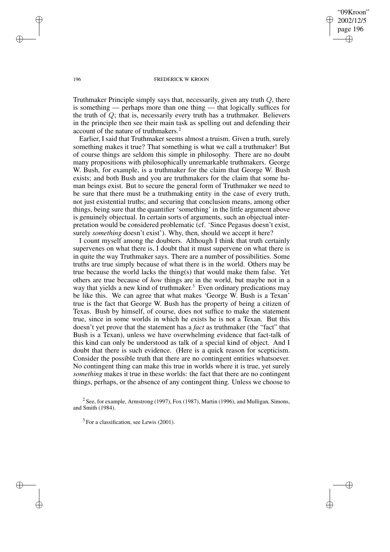"09Kroon" 2002/12/5 page 196 ✐ ✐

✐

✐

### 196 FREDERICK W KROON

Truthmaker Principle simply says that, necessarily, given any truth Q, there is something — perhaps more than one thing — that logically suffices for the truth of  $Q$ ; that is, necessarily every truth has a truthmaker. Believers in the principle then see their main task as spelling out and defending their account of the nature of truthmakers.<sup>2</sup>

Earlier, I said that Truthmaker seems almost a truism. Given a truth, surely something makes it true? That something is what we call a truthmaker! But of course things are seldom this simple in philosophy. There are no doubt many propositions with philosophically unremarkable truthmakers. George W. Bush, for example, is a truthmaker for the claim that George W. Bush exists; and both Bush and you are truthmakers for the claim that some human beings exist. But to secure the general form of Truthmaker we need to be sure that there must be a truthmaking entity in the case of every truth, not just existential truths; and securing that conclusion means, among other things, being sure that the quantifier 'something' in the little argument above is genuinely objectual. In certain sorts of arguments, such an objectual interpretation would be considered problematic (cf. 'Since Pegasus doesn't exist, surely *something* doesn't exist'). Why, then, should we accept it here?

I count myself among the doubters. Although I think that truth certainly supervenes on what there is, I doubt that it must supervene on what there is in quite the way Truthmaker says. There are a number of possibilities. Some truths are true simply because of what there is in the world. Others may be true because the world lacks the thing(s) that would make them false. Yet others are true because of *how* things are in the world, but maybe not in a way that yields a new kind of truthmaker.<sup>3</sup> Even ordinary predications may be like this. We can agree that what makes 'George W. Bush is a Texan' true is the fact that George W. Bush has the property of being a citizen of Texas. Bush by himself, of course, does not suffice to make the statement true, since in some worlds in which he exists he is not a Texan. But this doesn't yet prove that the statement has a *fact* as truthmaker (the "fact" that Bush is a Texan), unless we have overwhelming evidence that fact-talk of this kind can only be understood as talk of a special kind of object. And I doubt that there is such evidence. (Here is a quick reason for scepticism. Consider the possible truth that there are no contingent entities whatsoever. No contingent thing can make this true in worlds where it is true, yet surely *something* makes it true in these worlds: the fact that there are no contingent things, perhaps, or the absence of any contingent thing. Unless we choose to

✐

✐

✐

 $2$  See, for example, Armstrong (1997), Fox (1987), Martin (1996), and Mulligan, Simons, and Smith (1984).

<sup>&</sup>lt;sup>3</sup> For a classification, see Lewis (2001).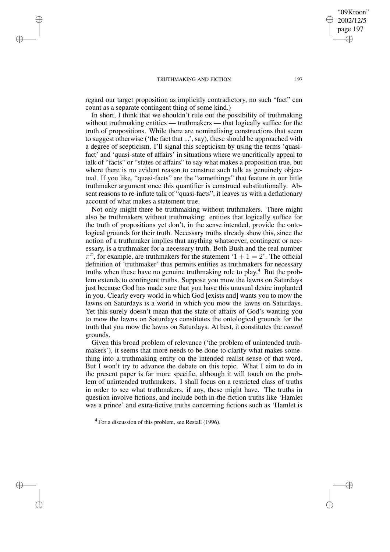✐

✐

✐

✐

regard our target proposition as implicitly contradictory, no such "fact" can count as a separate contingent thing of some kind.)

In short, I think that we shouldn't rule out the possibility of truthmaking without truthmaking entities — truthmakers — that logically suffice for the truth of propositions. While there are nominalising constructions that seem to suggest otherwise ('the fact that ...', say), these should be approached with a degree of scepticism. I'll signal this scepticism by using the terms 'quasifact' and 'quasi-state of affairs' in situations where we uncritically appeal to talk of "facts" or "states of affairs" to say what makes a proposition true, but where there is no evident reason to construe such talk as genuinely objectual. If you like, "quasi-facts" are the "somethings" that feature in our little truthmaker argument once this quantifier is construed substitutionally. Absent reasons to re-inflate talk of "quasi-facts", it leaves us with a deflationary account of what makes a statement true.

Not only might there be truthmaking without truthmakers. There might also be truthmakers without truthmaking: entities that logically suffice for the truth of propositions yet don't, in the sense intended, provide the ontological grounds for their truth. Necessary truths already show this, since the notion of a truthmaker implies that anything whatsoever, contingent or necessary, is a truthmaker for a necessary truth. Both Bush and the real number  $\pi^{\pi}$ , for example, are truthmakers for the statement '1 + 1 = 2'. The official definition of 'truthmaker' thus permits entities as truthmakers for necessary truths when these have no genuine truthmaking role to play. <sup>4</sup> But the problem extends to contingent truths. Suppose you mow the lawns on Saturdays just because God has made sure that you have this unusual desire implanted in you. Clearly every world in which God [exists and] wants you to mow the lawns on Saturdays is a world in which you mow the lawns on Saturdays. Yet this surely doesn't mean that the state of affairs of God's wanting you to mow the lawns on Saturdays constitutes the ontological grounds for the truth that you mow the lawns on Saturdays. At best, it constitutes the *causal* grounds.

Given this broad problem of relevance ('the problem of unintended truthmakers'), it seems that more needs to be done to clarify what makes something into a truthmaking entity on the intended realist sense of that word. But I won't try to advance the debate on this topic. What I aim to do in the present paper is far more specific, although it will touch on the problem of unintended truthmakers. I shall focus on a restricted class of truths in order to see what truthmakers, if any, these might have. The truths in question involve fictions, and include both in-the-fiction truths like 'Hamlet was a prince' and extra-fictive truths concerning fictions such as 'Hamlet is

<sup>4</sup> For a discussion of this problem, see Restall (1996).

"09Kroon" 2002/12/5 page 197

✐

✐

✐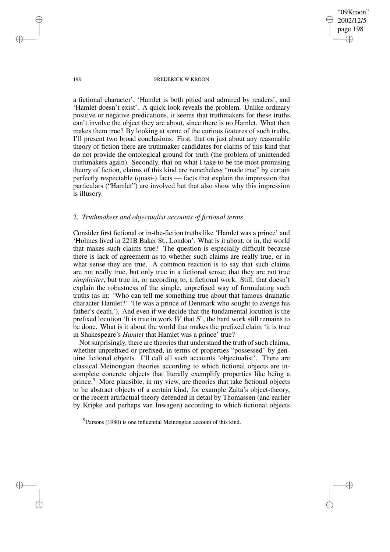"09Kroon" 2002/12/5 page 198 ✐ ✐

✐

✐

### 198 FREDERICK W KROON

a fictional character', 'Hamlet is both pitied and admired by readers', and 'Hamlet doesn't exist'. A quick look reveals the problem. Unlike ordinary positive or negative predications, it seems that truthmakers for these truths can't involve the object they are about, since there is no Hamlet. What then makes them true? By looking at some of the curious features of such truths, I'll present two broad conclusions. First, that on just about any reasonable theory of fiction there are truthmaker candidates for claims of this kind that do not provide the ontological ground for truth (the problem of unintended truthmakers again). Secondly, that on what I take to be the most promising theory of fiction, claims of this kind are nonetheless "made true" by certain perfectly respectable (quasi-) facts — facts that explain the impression that particulars ("Hamlet") are involved but that also show why this impression is illusory.

## 2. *Truthmakers and objectualist accounts of fictional terms*

Consider first fictional or in-the-fiction truths like 'Hamlet was a prince' and 'Holmes lived in 221B Baker St., London'. What is it about, or in, the world that makes such claims true? The question is especially difficult because there is lack of agreement as to whether such claims are really true, or in what sense they are true. A common reaction is to say that such claims are not really true, but only true in a fictional sense; that they are not true *simpliciter*, but true in, or according to, a fictional work. Still, that doesn't explain the robustness of the simple, unprefixed way of formulating such truths (as in: 'Who can tell me something true about that famous dramatic character Hamlet?' 'He was a prince of Denmark who sought to avenge his father's death.'). And even if we decide that the fundamental locution is the prefixed locution 'It is true in work  $W$  that  $S'$ , the hard work still remains to be done. What is it about the world that makes the prefixed claim 'it is true in Shakespeare's *Hamlet* that Hamlet was a prince' true?

Not surprisingly, there are theories that understand the truth of such claims, whether unprefixed or prefixed, in terms of properties "possessed" by genuine fictional objects. I'll call all such accounts 'objectualist'. There are classical Meinongian theories according to which fictional objects are incomplete concrete objects that literally exemplify properties like being a prince.<sup>5</sup> More plausible, in my view, are theories that take fictional objects to be abstract objects of a certain kind, for example Zalta's object-theory, or the recent artifactual theory defended in detail by Thomassen (and earlier by Kripke and perhaps van Inwagen) according to which fictional objects

✐

✐

✐

<sup>&</sup>lt;sup>5</sup> Parsons (1980) is one influential Meinongian account of this kind.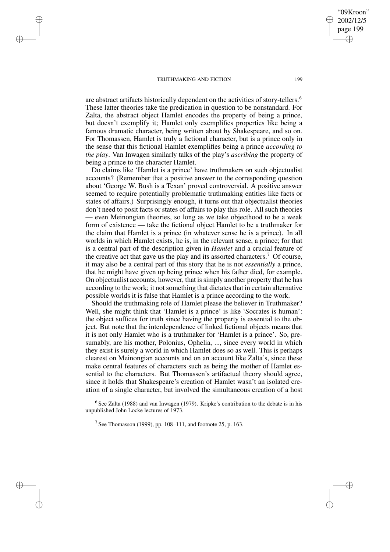✐

✐

✐

✐

are abstract artifacts historically dependent on the activities of story-tellers.<sup>6</sup> These latter theories take the predication in question to be nonstandard. For Zalta, the abstract object Hamlet encodes the property of being a prince, but doesn't exemplify it; Hamlet only exemplifies properties like being a famous dramatic character, being written about by Shakespeare, and so on. For Thomassen, Hamlet is truly a fictional character, but is a prince only in the sense that this fictional Hamlet exemplifies being a prince *according to the play*. Van Inwagen similarly talks of the play's *ascribing* the property of being a prince to the character Hamlet.

Do claims like 'Hamlet is a prince' have truthmakers on such objectualist accounts? (Remember that a positive answer to the corresponding question about 'George W. Bush is a Texan' proved controversial. A positive answer seemed to require potentially problematic truthmaking entities like facts or states of affairs.) Surprisingly enough, it turns out that objectualist theories don't need to posit facts or states of affairs to play this role. All such theories — even Meinongian theories, so long as we take objecthood to be a weak form of existence — take the fictional object Hamlet to be a truthmaker for the claim that Hamlet is a prince (in whatever sense he is a prince). In all worlds in which Hamlet exists, he is, in the relevant sense, a prince; for that is a central part of the description given in *Hamlet* and a crucial feature of the creative act that gave us the play and its assorted characters.<sup>7</sup> Of course, it may also be a central part of this story that he is not *essentially* a prince, that he might have given up being prince when his father died, for example. On objectualist accounts, however, that is simply another property that he has according to the work; it not something that dictates that in certain alternative possible worlds it is false that Hamlet is a prince according to the work.

Should the truthmaking role of Hamlet please the believer in Truthmaker? Well, she might think that 'Hamlet is a prince' is like 'Socrates is human': the object suffices for truth since having the property is essential to the object. But note that the interdependence of linked fictional objects means that it is not only Hamlet who is a truthmaker for 'Hamlet is a prince'. So, presumably, are his mother, Polonius, Ophelia, ..., since every world in which they exist is surely a world in which Hamlet does so as well. This is perhaps clearest on Meinongian accounts and on an account like Zalta's, since these make central features of characters such as being the mother of Hamlet essential to the characters. But Thomassen's artifactual theory should agree, since it holds that Shakespeare's creation of Hamlet wasn't an isolated creation of a single character, but involved the simultaneous creation of a host

 $<sup>6</sup>$  See Zalta (1988) and van Inwagen (1979). Kripke's contribution to the debate is in his</sup> unpublished John Locke lectures of 1973.

<sup>7</sup> See Thomasson (1999), pp. 108–111, and footnote 25, p. 163.

"09Kroon" 2002/12/5 page 199

✐

✐

✐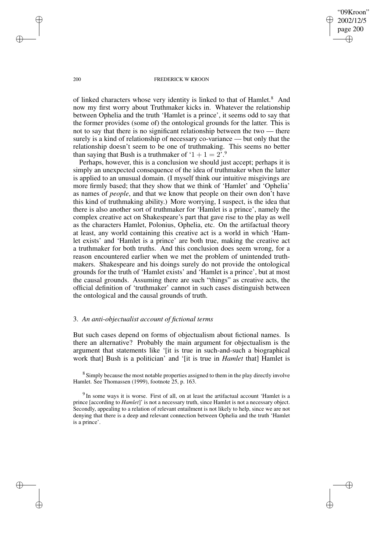"09Kroon" 2002/12/5 page 200 ✐ ✐

✐

✐

### 200 FREDERICK W KROON

of linked characters whose very identity is linked to that of Hamlet.<sup>8</sup> And now my first worry about Truthmaker kicks in. Whatever the relationship between Ophelia and the truth 'Hamlet is a prince', it seems odd to say that the former provides (some of) the ontological grounds for the latter. This is not to say that there is no significant relationship between the two — there surely is a kind of relationship of necessary co-variance — but only that the relationship doesn't seem to be one of truthmaking. This seems no better than saying that Bush is a truthmaker of ' $1 + 1 = 2'$ .<sup>9</sup>

Perhaps, however, this is a conclusion we should just accept; perhaps it is simply an unexpected consequence of the idea of truthmaker when the latter is applied to an unusual domain. (I myself think our intuitive misgivings are more firmly based; that they show that we think of 'Hamlet' and 'Ophelia' as names of *people*, and that we know that people on their own don't have this kind of truthmaking ability.) More worrying, I suspect, is the idea that there is also another sort of truthmaker for 'Hamlet is a prince', namely the complex creative act on Shakespeare's part that gave rise to the play as well as the characters Hamlet, Polonius, Ophelia, etc. On the artifactual theory at least, any world containing this creative act is a world in which 'Hamlet exists' and 'Hamlet is a prince' are both true, making the creative act a truthmaker for both truths. And this conclusion does seem wrong, for a reason encountered earlier when we met the problem of unintended truthmakers. Shakespeare and his doings surely do not provide the ontological grounds for the truth of 'Hamlet exists' and 'Hamlet is a prince', but at most the causal grounds. Assuming there are such "things" as creative acts, the official definition of 'truthmaker' cannot in such cases distinguish between the ontological and the causal grounds of truth.

# 3. *An anti-objectualist account of fictional terms*

But such cases depend on forms of objectualism about fictional names. Is there an alternative? Probably the main argument for objectualism is the argument that statements like '[it is true in such-and-such a biographical work that] Bush is a politician' and '[it is true in *Hamlet* that] Hamlet is

 $8$  Simply because the most notable properties assigned to them in the play directly involve Hamlet. See Thomassen (1999), footnote 25, p. 163.

<sup>9</sup> In some ways it is worse. First of all, on at least the artifactual account 'Hamlet is a prince [according to *Hamlet*]' is not a necessary truth, since Hamlet is not a necessary object. Secondly, appealing to a relation of relevant entailment is not likely to help, since we are not denying that there is a deep and relevant connection between Ophelia and the truth 'Hamlet is a prince'.

✐

✐

✐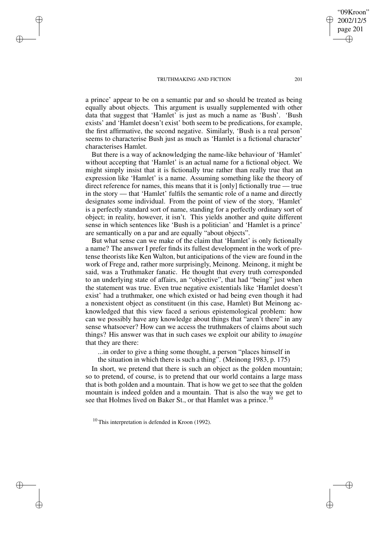✐

✐

✐

✐

a prince' appear to be on a semantic par and so should be treated as being equally about objects. This argument is usually supplemented with other data that suggest that 'Hamlet' is just as much a name as 'Bush'. 'Bush exists' and 'Hamlet doesn't exist' both seem to be predications, for example, the first affirmative, the second negative. Similarly, 'Bush is a real person' seems to characterise Bush just as much as 'Hamlet is a fictional character' characterises Hamlet.

But there is a way of acknowledging the name-like behaviour of 'Hamlet' without accepting that 'Hamlet' is an actual name for a fictional object. We might simply insist that it is fictionally true rather than really true that an expression like 'Hamlet' is a name. Assuming something like the theory of direct reference for names, this means that it is [only] fictionally true — true in the story — that 'Hamlet' fulfils the semantic role of a name and directly designates some individual. From the point of view of the story, 'Hamlet' is a perfectly standard sort of name, standing for a perfectly ordinary sort of object; in reality, however, it isn't. This yields another and quite different sense in which sentences like 'Bush is a politician' and 'Hamlet is a prince' are semantically on a par and are equally "about objects".

But what sense can we make of the claim that 'Hamlet' is only fictionally a name? The answer I prefer finds its fullest development in the work of pretense theorists like Ken Walton, but anticipations of the view are found in the work of Frege and, rather more surprisingly, Meinong. Meinong, it might be said, was a Truthmaker fanatic. He thought that every truth corresponded to an underlying state of affairs, an "objective", that had "being" just when the statement was true. Even true negative existentials like 'Hamlet doesn't exist' had a truthmaker, one which existed or had being even though it had a nonexistent object as constituent (in this case, Hamlet) But Meinong acknowledged that this view faced a serious epistemological problem: how can we possibly have any knowledge about things that "aren't there" in any sense whatsoever? How can we access the truthmakers of claims about such things? His answer was that in such cases we exploit our ability to *imagine* that they are there:

...in order to give a thing some thought, a person "places himself in the situation in which there is such a thing". (Meinong 1983, p. 175)

In short, we pretend that there is such an object as the golden mountain; so to pretend, of course, is to pretend that our world contains a large mass that is both golden and a mountain. That is how we get to see that the golden mountain is indeed golden and a mountain. That is also the way we get to see that Holmes lived on Baker St., or that Hamlet was a prince.<sup>10</sup>

"09Kroon" 2002/12/5 page 201

✐

✐

✐

 $10$  This interpretation is defended in Kroon (1992).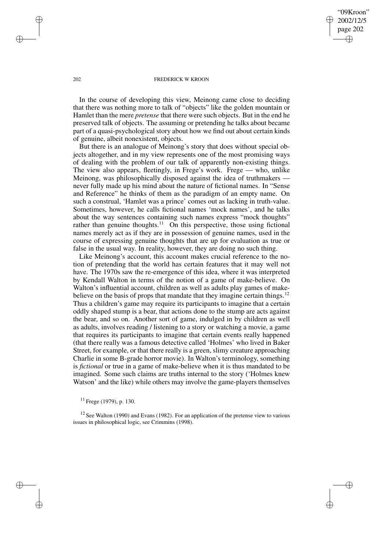"09Kroon" 2002/12/5 page 202 ✐ ✐

✐

✐

### 202 FREDERICK W KROON

In the course of developing this view, Meinong came close to deciding that there was nothing more to talk of "objects" like the golden mountain or Hamlet than the mere *pretense* that there were such objects. But in the end he preserved talk of objects. The assuming or pretending he talks about became part of a quasi-psychological story about how we find out about certain kinds of genuine, albeit nonexistent, objects.

But there is an analogue of Meinong's story that does without special objects altogether, and in my view represents one of the most promising ways of dealing with the problem of our talk of apparently non-existing things. The view also appears, fleetingly, in Frege's work. Frege — who, unlike Meinong, was philosophically disposed against the idea of truthmakers never fully made up his mind about the nature of fictional names. In "Sense and Reference" he thinks of them as the paradigm of an empty name. On such a construal, 'Hamlet was a prince' comes out as lacking in truth-value. Sometimes, however, he calls fictional names 'mock names', and he talks about the way sentences containing such names express "mock thoughts" rather than genuine thoughts.<sup>11</sup> On this perspective, those using fictional names merely act as if they are in possession of genuine names, used in the course of expressing genuine thoughts that are up for evaluation as true or false in the usual way. In reality, however, they are doing no such thing.

Like Meinong's account, this account makes crucial reference to the notion of pretending that the world has certain features that it may well not have. The 1970s saw the re-emergence of this idea, where it was interpreted by Kendall Walton in terms of the notion of a game of make-believe. On Walton's influential account, children as well as adults play games of makebelieve on the basis of props that mandate that they imagine certain things.<sup>12</sup> Thus a children's game may require its participants to imagine that a certain oddly shaped stump is a bear, that actions done to the stump are acts against the bear, and so on. Another sort of game, indulged in by children as well as adults, involves reading / listening to a story or watching a movie, a game that requires its participants to imagine that certain events really happened (that there really was a famous detective called 'Holmes' who lived in Baker Street, for example, or that there really is a green, slimy creature approaching Charlie in some B-grade horror movie). In Walton's terminology, something is *fictional* or true in a game of make-believe when it is thus mandated to be imagined. Some such claims are truths internal to the story ('Holmes knew Watson' and the like) while others may involve the game-players themselves

✐

✐

✐

<sup>11</sup> Frege (1979), p. 130.

 $12$  See Walton (1990) and Evans (1982). For an application of the pretense view to various issues in philosophical logic, see Crimmins (1998).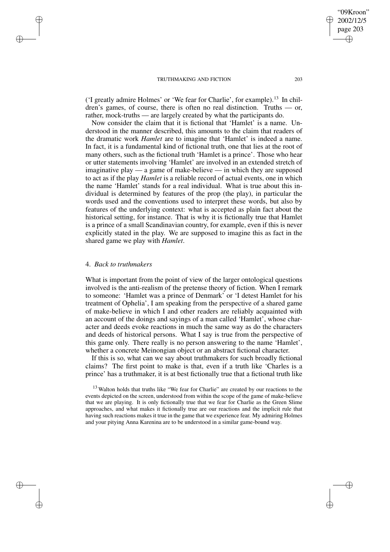('I greatly admire Holmes' or 'We fear for Charlie', for example).<sup>13</sup> In children's games, of course, there is often no real distinction. Truths — or, rather, mock-truths — are largely created by what the participants do.

Now consider the claim that it is fictional that 'Hamlet' is a name. Understood in the manner described, this amounts to the claim that readers of the dramatic work *Hamlet* are to imagine that 'Hamlet' is indeed a name. In fact, it is a fundamental kind of fictional truth, one that lies at the root of many others, such as the fictional truth 'Hamlet is a prince'. Those who hear or utter statements involving 'Hamlet' are involved in an extended stretch of imaginative play — a game of make-believe — in which they are supposed to act as if the play *Hamlet* is a reliable record of actual events, one in which the name 'Hamlet' stands for a real individual. What is true about this individual is determined by features of the prop (the play), in particular the words used and the conventions used to interpret these words, but also by features of the underlying context: what is accepted as plain fact about the historical setting, for instance. That is why it is fictionally true that Hamlet is a prince of a small Scandinavian country, for example, even if this is never explicitly stated in the play. We are supposed to imagine this as fact in the shared game we play with *Hamlet*.

# 4. *Back to truthmakers*

✐

✐

✐

✐

What is important from the point of view of the larger ontological questions involved is the anti-realism of the pretense theory of fiction. When I remark to someone: 'Hamlet was a prince of Denmark' or 'I detest Hamlet for his treatment of Ophelia', I am speaking from the perspective of a shared game of make-believe in which I and other readers are reliably acquainted with an account of the doings and sayings of a man called 'Hamlet', whose character and deeds evoke reactions in much the same way as do the characters and deeds of historical persons. What I say is true from the perspective of this game only. There really is no person answering to the name 'Hamlet', whether a concrete Meinongian object or an abstract fictional character.

If this is so, what can we say about truthmakers for such broadly fictional claims? The first point to make is that, even if a truth like 'Charles is a prince' has a truthmaker, it is at best fictionally true that a fictional truth like

"09Kroon" 2002/12/5 page 203

✐

✐

✐

<sup>&</sup>lt;sup>13</sup> Walton holds that truths like "We fear for Charlie" are created by our reactions to the events depicted on the screen, understood from within the scope of the game of make-believe that we are playing. It is only fictionally true that we fear for Charlie as the Green Slime approaches, and what makes it fictionally true are our reactions and the implicit rule that having such reactions makes it true in the game that we experience fear. My admiring Holmes and your pitying Anna Karenina are to be understood in a similar game-bound way.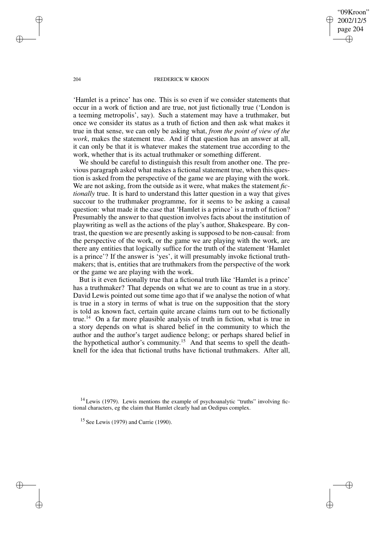"09Kroon" 2002/12/5 page 204 ✐ ✐

✐

✐

### 204 FREDERICK W KROON

'Hamlet is a prince' has one. This is so even if we consider statements that occur in a work of fiction and are true, not just fictionally true ('London is a teeming metropolis', say). Such a statement may have a truthmaker, but once we consider its status as a truth of fiction and then ask what makes it true in that sense, we can only be asking what, *from the point of view of the work*, makes the statement true. And if that question has an answer at all, it can only be that it is whatever makes the statement true according to the work, whether that is its actual truthmaker or something different.

We should be careful to distinguish this result from another one. The previous paragraph asked what makes a fictional statement true, when this question is asked from the perspective of the game we are playing with the work. We are not asking, from the outside as it were, what makes the statement *fictionally* true. It is hard to understand this latter question in a way that gives succour to the truthmaker programme, for it seems to be asking a causal question: what made it the case that 'Hamlet is a prince' is a truth of fiction? Presumably the answer to that question involves facts about the institution of playwriting as well as the actions of the play's author, Shakespeare. By contrast, the question we are presently asking is supposed to be non-causal: from the perspective of the work, or the game we are playing with the work, are there any entities that logically suffice for the truth of the statement 'Hamlet is a prince'? If the answer is 'yes', it will presumably invoke fictional truthmakers; that is, entities that are truthmakers from the perspective of the work or the game we are playing with the work.

But is it even fictionally true that a fictional truth like 'Hamlet is a prince' has a truthmaker? That depends on what we are to count as true in a story. David Lewis pointed out some time ago that if we analyse the notion of what is true in a story in terms of what is true on the supposition that the story is told as known fact, certain quite arcane claims turn out to be fictionally true.<sup>14</sup> On a far more plausible analysis of truth in fiction, what is true in a story depends on what is shared belief in the community to which the author and the author's target audience belong; or perhaps shared belief in the hypothetical author's community.<sup>15</sup> And that seems to spell the deathknell for the idea that fictional truths have fictional truthmakers. After all,

✐

✐

✐

 $14$  Lewis (1979). Lewis mentions the example of psychoanalytic "truths" involving fictional characters, eg the claim that Hamlet clearly had an Oedipus complex.

<sup>15</sup> See Lewis (1979) and Currie (1990).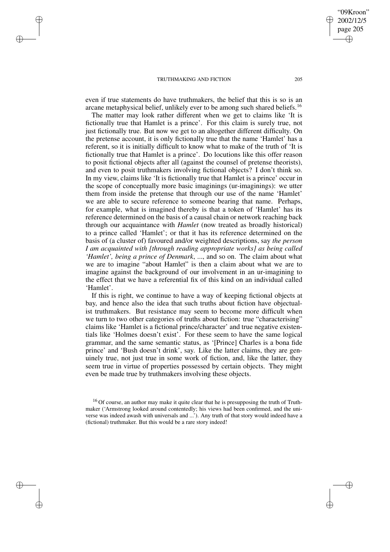✐

✐

✐

✐

even if true statements do have truthmakers, the belief that this is so is an arcane metaphysical belief, unlikely ever to be among such shared beliefs.<sup>16</sup>

The matter may look rather different when we get to claims like 'It is fictionally true that Hamlet is a prince'. For this claim is surely true, not just fictionally true. But now we get to an altogether different difficulty. On the pretense account, it is only fictionally true that the name 'Hamlet' has a referent, so it is initially difficult to know what to make of the truth of 'It is fictionally true that Hamlet is a prince'. Do locutions like this offer reason to posit fictional objects after all (against the counsel of pretense theorists), and even to posit truthmakers involving fictional objects? I don't think so. In my view, claims like 'It is fictionally true that Hamlet is a prince' occur in the scope of conceptually more basic imaginings (ur-imaginings): we utter them from inside the pretense that through our use of the name 'Hamlet' we are able to secure reference to someone bearing that name. Perhaps, for example, what is imagined thereby is that a token of 'Hamlet' has its reference determined on the basis of a causal chain or network reaching back through our acquaintance with *Hamlet* (now treated as broadly historical) to a prince called 'Hamlet'; or that it has its reference determined on the basis of (a cluster of) favoured and/or weighted descriptions, say *the person I am acquainted with [through reading appropriate works] as being called 'Hamlet', being a prince of Denmark*, ..., and so on. The claim about what we are to imagine "about Hamlet" is then a claim about what we are to imagine against the background of our involvement in an ur-imagining to the effect that we have a referential fix of this kind on an individual called 'Hamlet'.

If this is right, we continue to have a way of keeping fictional objects at bay, and hence also the idea that such truths about fiction have objectualist truthmakers. But resistance may seem to become more difficult when we turn to two other categories of truths about fiction: true "characterising" claims like 'Hamlet is a fictional prince/character' and true negative existentials like 'Holmes doesn't exist'. For these seem to have the same logical grammar, and the same semantic status, as '[Prince] Charles is a bona fide prince' and 'Bush doesn't drink', say. Like the latter claims, they are genuinely true, not just true in some work of fiction, and, like the latter, they seem true in virtue of properties possessed by certain objects. They might even be made true by truthmakers involving these objects.

"09Kroon" 2002/12/5 page 205

✐

✐

✐

<sup>&</sup>lt;sup>16</sup> Of course, an author may make it quite clear that he is presupposing the truth of Truthmaker ('Armstrong looked around contentedly; his views had been confirmed, and the universe was indeed awash with universals and ...'). Any truth of that story would indeed have a (fictional) truthmaker. But this would be a rare story indeed!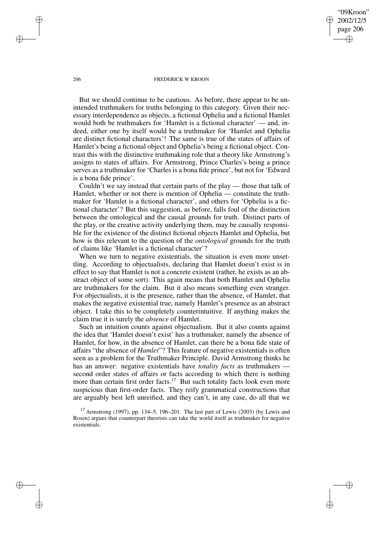"09Kroon" 2002/12/5 page 206 ✐ ✐

✐

✐

#### 206 FREDERICK W KROON

But we should continue to be cautious. As before, there appear to be unintended truthmakers for truths belonging to this category. Given their necessary interdependence as objects, a fictional Ophelia and a fictional Hamlet would both be truthmakers for 'Hamlet is a fictional character' — and, indeed, either one by itself would be a truthmaker for 'Hamlet and Ophelia are distinct fictional characters'! The same is true of the states of affairs of Hamlet's being a fictional object and Ophelia's being a fictional object. Contrast this with the distinctive truthmaking role that a theory like Armstrong's assigns to states of affairs. For Armstrong, Prince Charles's being a prince serves as a truthmaker for 'Charles is a bona fide prince', but not for 'Edward is a bona fide prince'.

Couldn't we say instead that certain parts of the play — those that talk of Hamlet, whether or not there is mention of Ophelia — constitute the truthmaker for 'Hamlet is a fictional character', and others for 'Ophelia is a fictional character'? But this suggestion, as before, falls foul of the distinction between the ontological and the causal grounds for truth. Distinct parts of the play, or the creative activity underlying them, may be causally responsible for the existence of the distinct fictional objects Hamlet and Ophelia, but how is this relevant to the question of the *ontological* grounds for the truth of claims like 'Hamlet is a fictional character'?

When we turn to negative existentials, the situation is even more unsettling. According to objectualists, declaring that Hamlet doesn't exist is in effect to say that Hamlet is not a concrete existent (rather, he exists as an abstract object of some sort). This again means that both Hamlet and Ophelia are truthmakers for the claim. But it also means something even stranger. For objectualists, it is the presence, rather than the absence, of Hamlet, that makes the negative existential true, namely Hamlet's presence as an abstract object. I take this to be completely counterintuitive. If anything makes the claim true it is surely the *absence* of Hamlet.

Such an intuition counts against objectualism. But it also counts against the idea that 'Hamlet doesn't exist' has a truthmaker, namely the absence of Hamlet, for how, in the absence of Hamlet, can there be a bona fide state of affairs "the absence of *Hamlet*"? This feature of negative existentials is often seen as a problem for the Truthmaker Principle. David Armstrong thinks he has an answer: negative existentials have *totality facts* as truthmakers second order states of affairs or facts according to which there is nothing more than certain first order facts.<sup>17</sup> But such totality facts look even more suspicious than first-order facts. They reify grammatical constructions that are arguably best left unreified, and they can't, in any case, do all that we

✐

✐

✐

<sup>&</sup>lt;sup>17</sup> Armstrong (1997), pp. 134–5, 196–201. The last part of Lewis (2003) (by Lewis and Rosen) argues that counterpart theorists can take the world itself as truthmaker for negative existentials.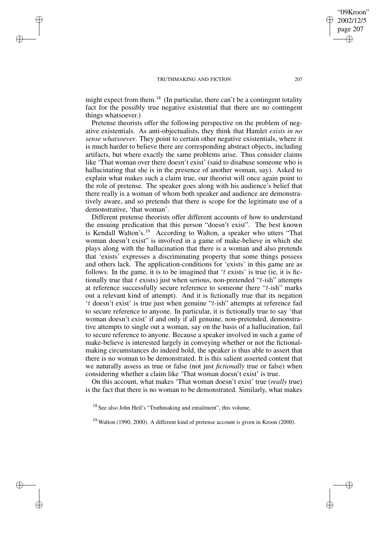✐

✐

✐

✐

might expect from them.<sup>18</sup> (In particular, there can't be a contingent totality fact for the possibly true negative existential that there are no contingent things whatsoever.)

Pretense theorists offer the following perspective on the problem of negative existentials. As anti-objectualists, they think that Hamlet *exists in no sense whatsoever*. They point to certain other negative existentials, where it is much harder to believe there are corresponding abstract objects, including artifacts, but where exactly the same problems arise. Thus consider claims like 'That woman over there doesn't exist' (said to disabuse someone who is hallucinating that she is in the presence of another woman, say). Asked to explain what makes such a claim true, our theorist will once again point to the role of pretense. The speaker goes along with his audience's belief that there really is a woman of whom both speaker and audience are demonstratively aware, and so pretends that there is scope for the legitimate use of a demonstrative, 'that woman'.

Different pretense theorists offer different accounts of how to understand the ensuing predication that this person "doesn't exist". The best known is Kendall Walton's.<sup>19</sup> According to Walton, a speaker who utters "That woman doesn't exist" is involved in a game of make-believe in which she plays along with the hallucination that there is a woman and also pretends that 'exists' expresses a discriminating property that some things possess and others lack. The application-conditions for 'exists' in this game are as follows. In the game, it is to be imagined that 't exists' is true (ie, it is fictionally true that  $t$  exists) just when serious, non-pretended " $t$ -ish" attempts at reference successfully secure reference to someone (here "t-ish" marks out a relevant kind of attempt). And it is fictionally true that its negation 't doesn't exist' is true just when genuine "t-ish" attempts at reference fail to secure reference to anyone. In particular, it is fictionally true to say 'that woman doesn't exist' if and only if all genuine, non-pretended, demonstrative attempts to single out a woman, say on the basis of a hallucination, fail to secure reference to anyone. Because a speaker involved in such a game of make-believe is interested largely in conveying whether or not the fictionalmaking circumstances do indeed hold, the speaker is thus able to assert that there is no woman to be demonstrated. It is this salient asserted content that we naturally assess as true or false (not just *fictionally* true or false) when considering whether a claim like 'That woman doesn't exist' is true.

On this account, what makes 'That woman doesn't exist' true (*really* true) is the fact that there is no woman to be demonstrated. Similarly, what makes

"09Kroon" 2002/12/5 page 207

✐

✐

✐

<sup>18</sup> See also John Heil's "Truthmaking and entailment", this volume.

<sup>&</sup>lt;sup>19</sup> Walton (1990, 2000). A different kind of pretense account is given in Kroon (2000).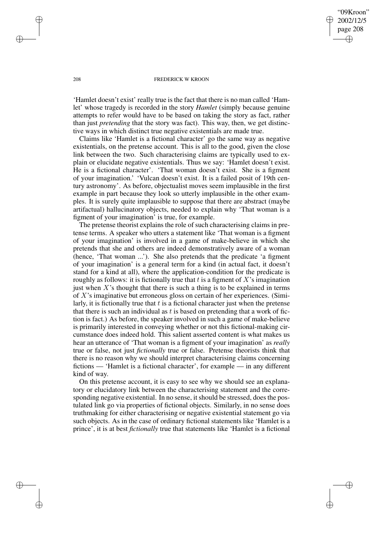"09Kroon" 2002/12/5 page 208 ✐ ✐

✐

✐

## 208 FREDERICK W KROON

'Hamlet doesn't exist' really true is the fact that there is no man called 'Hamlet' whose tragedy is recorded in the story *Hamlet* (simply because genuine attempts to refer would have to be based on taking the story as fact, rather than just *pretending* that the story was fact). This way, then, we get distinctive ways in which distinct true negative existentials are made true.

Claims like 'Hamlet is a fictional character' go the same way as negative existentials, on the pretense account. This is all to the good, given the close link between the two. Such characterising claims are typically used to explain or elucidate negative existentials. Thus we say: 'Hamlet doesn't exist. He is a fictional character'. 'That woman doesn't exist. She is a figment of your imagination.' 'Vulcan doesn't exist. It is a failed posit of 19th century astronomy'. As before, objectualist moves seem implausible in the first example in part because they look so utterly implausible in the other examples. It is surely quite implausible to suppose that there are abstract (maybe artifactual) hallucinatory objects, needed to explain why 'That woman is a figment of your imagination' is true, for example.

The pretense theorist explains the role of such characterising claims in pretense terms. A speaker who utters a statement like 'That woman is a figment of your imagination' is involved in a game of make-believe in which she pretends that she and others are indeed demonstratively aware of a woman (hence, 'That woman ...'). She also pretends that the predicate 'a figment of your imagination' is a general term for a kind (in actual fact, it doesn't stand for a kind at all), where the application-condition for the predicate is roughly as follows: it is fictionally true that  $t$  is a figment of  $X$ 's imagination just when  $X$ 's thought that there is such a thing is to be explained in terms of X's imaginative but erroneous gloss on certain of her experiences. (Similarly, it is fictionally true that  $t$  is a fictional character just when the pretense that there is such an individual as  $t$  is based on pretending that a work of fiction is fact.) As before, the speaker involved in such a game of make-believe is primarily interested in conveying whether or not this fictional-making circumstance does indeed hold. This salient asserted content is what makes us hear an utterance of 'That woman is a figment of your imagination' as *really* true or false, not just *fictionally* true or false. Pretense theorists think that there is no reason why we should interpret characterising claims concerning fictions — 'Hamlet is a fictional character', for example — in any different kind of way.

On this pretense account, it is easy to see why we should see an explanatory or elucidatory link between the characterising statement and the corresponding negative existential. In no sense, it should be stressed, does the postulated link go via properties of fictional objects. Similarly, in no sense does truthmaking for either characterising or negative existential statement go via such objects. As in the case of ordinary fictional statements like 'Hamlet is a prince', it is at best *fictionally* true that statements like 'Hamlet is a fictional

✐

✐

✐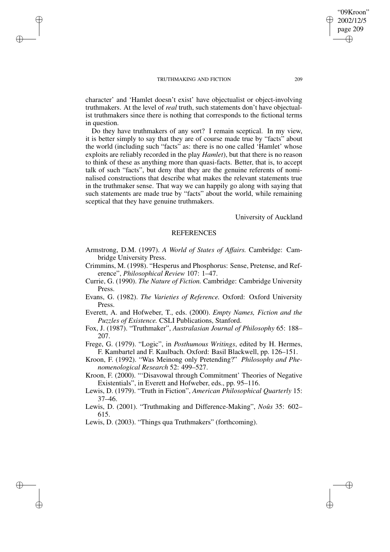✐

✐

✐

✐

character' and 'Hamlet doesn't exist' have objectualist or object-involving truthmakers. At the level of *real* truth, such statements don't have objectualist truthmakers since there is nothing that corresponds to the fictional terms in question.

Do they have truthmakers of any sort? I remain sceptical. In my view, it is better simply to say that they are of course made true by "facts" about the world (including such "facts" as: there is no one called 'Hamlet' whose exploits are reliably recorded in the play *Hamlet*), but that there is no reason to think of these as anything more than quasi-facts. Better, that is, to accept talk of such "facts", but deny that they are the genuine referents of nominalised constructions that describe what makes the relevant statements true in the truthmaker sense. That way we can happily go along with saying that such statements are made true by "facts" about the world, while remaining sceptical that they have genuine truthmakers.

University of Auckland

# **REFERENCES**

- Armstrong, D.M. (1997). *A World of States of Affairs.* Cambridge: Cambridge University Press.
- Crimmins, M. (1998). "Hesperus and Phosphorus: Sense, Pretense, and Reference", *Philosophical Review* 107: 1–47.
- Currie, G. (1990). *The Nature of Fiction.* Cambridge: Cambridge University Press.
- Evans, G. (1982). *The Varieties of Reference.* Oxford: Oxford University Press.
- Everett, A. and Hofweber, T., eds. (2000). *Empty Names, Fiction and the Puzzles of Existence.* CSLI Publications, Stanford.
- Fox, J. (1987). "Truthmaker", *Australasian Journal of Philosophy* 65: 188– 207.
- Frege, G. (1979). "Logic", in *Posthumous Writings*, edited by H. Hermes, F. Kambartel and F. Kaulbach. Oxford: Basil Blackwell, pp. 126–151.
- Kroon, F. (1992). "Was Meinong only Pretending?" *Philosophy and Phenomenological Research* 52: 499–527.
- Kroon, F. (2000). "'Disavowal through Commitment' Theories of Negative Existentials", in Everett and Hofweber, eds., pp. 95–116.
- Lewis, D. (1979). "Truth in Fiction", *American Philosophical Quarterly* 15: 37–46.
- Lewis, D. (2001). "Truthmaking and Difference-Making", *Noûs* 35: 602– 615.
- Lewis, D. (2003). "Things qua Truthmakers" (forthcoming).

"09Kroon" 2002/12/5 page 209

✐

✐

✐